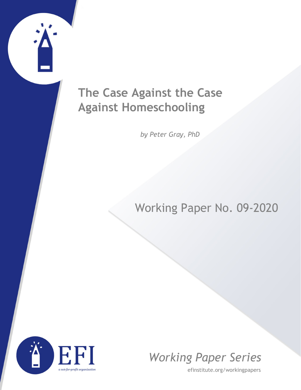## **The Case Against the Case Against Homeschooling**

*by Peter Gray, PhD*

## Working Paper No. 09-2020



*Working Paper Series*

efinstitute.org/workingpapers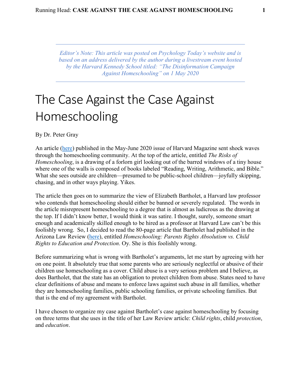*Editor's Note: This article was posted on Psychology Today's website and is based on an address delivered by the author during a livestream event hosted by the Harvard Kennedy School titled: "The Disinformation Campaign Against Homeschooling" on 1 May 2020*

# The Case Against the Case Against Homeschooling

By Dr. Peter Gray

An article [\(here\)](https://harvardmagazine.com/2020/05/right-now-risks-homeschooling) published in the May-June 2020 issue of Harvard Magazine sent shock waves through the homeschooling community. At the top of the article, entitled *The Risks of Homeschooling*, is a drawing of a forlorn girl looking out of the barred windows of a tiny house where one of the walls is composed of books labeled "Reading, Writing, Arithmetic, and Bible." What she sees outside are children—presumed to be public-school children—joyfully skipping, chasing, and in other ways playing. Yikes.

The article then goes on to summarize the view of Elizabeth Bartholet, a Harvard law professor who contends that homeschooling should either be banned or severely regulated. The words in the article misrepresent homeschooling to a degree that is almost as ludicrous as the drawing at the top. If I didn't know better, I would think it was satire. I thought, surely, someone smart enough and academically skilled enough to be hired as a professor at Harvard Law can't be this foolishly wrong. So, I decided to read the 80-page article that Bartholet had published in the Arizona Law Review [\(here\)](https://arizonalawreview.org/homeschooling-parent-rights-absolutism-vs-child-rights-to-education-protection/), entitled *Homeschooling: Parents Rights Absolutism vs. Child Rights to Education and Protection*. Oy. She is this foolishly wrong.

Before summarizing what is wrong with Bartholet's arguments, let me start by agreeing with her on one point. It absolutely true that some parents who are seriously neglectful or abusive of their children use homeschooling as a cover. Child abuse is a very serious problem and I believe, as does Bartholet, that the state has an obligation to protect children from abuse. States need to have clear definitions of abuse and means to enforce laws against such abuse in all families, whether they are homeschooling families, public schooling families, or private schooling families. But that is the end of my agreement with Bartholet.

I have chosen to organize my case against Bartholet's case against homeschooling by focusing on three terms that she uses in the title of her Law Review article: *Child rights*, child *protection*, and *education*.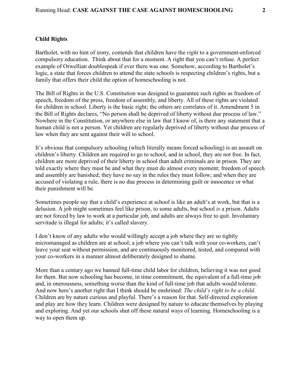### **Child Rights**

Bartholet, with no hint of irony, contends that children have the *right* to a government-enforced compulsory education. Think about that for a moment. A right that you can't refuse. A perfect example of Orwellian doublespeak if ever there was one. Somehow, according to Bartholet's logic, a state that forces children to attend the state schools is respecting children's rights, but a family that offers their child the option of homeschooling is not.

The Bill of Rights in the U.S. Constitution was designed to guarantee such rights as freedom of speech, freedom of the press, freedom of assembly, and liberty. All of these rights are violated for children in school. Liberty is the basic right; the others are correlates of it. Amendment 5 in the Bill of Rights declares, "No person shall be deprived of liberty without due process of law." Nowhere in the Constitution, or anywhere else in law that I know of, is there any statement that a human child is not a person. Yet children are regularly deprived of liberty without due process of law when they are sent against their will to school.

It's obvious that compulsory schooling (which literally means forced schooling) is an assault on children's liberty. Children are required to go to school, and in school, they are not free. In fact, children are more deprived of their liberty in school than adult criminals are in prison. They are told exactly where they must be and what they must do almost every moment; freedom of speech and assembly are banished; they have no say in the rules they must follow; and when they are accused of violating a rule, there is no due process in determining guilt or innocence or what their punishment will be.

Sometimes people say that a child's experience at school is like an adult's at work, but that is a delusion. A job might sometimes feel like prison, to some adults, but school *is* a prison. Adults are not forced by law to work at a particular job, and adults are always free to quit. Involuntary servitude is illegal for adults; it's called slavery.

I don't know of any adults who would willingly accept a job where they are so tightly micromanaged as children are at school; a job where you can't talk with your co-workers, can't leave your seat without permission, and are continuously monitored, tested, and compared with your co-workers in a manner almost deliberately designed to shame.

More than a century ago we banned full-time child labor for children, believing it was not good for them. But now schooling has become, in time commitment, the equivalent of a full-time job and, in onerousness, something worse than the kind of full-time job that adults would tolerate. And now here's another right that I think should be enshrined: *The child's right to be a child*. Children are by nature curious and playful. There's a reason for that. Self-directed exploration and play are how they learn. Children were designed by nature to educate themselves by playing and exploring. And yet our schools shut off these natural ways of learning. Homeschooling is a way to open them up.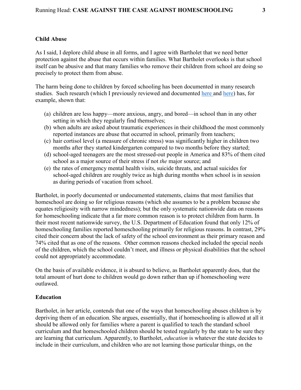#### **Child Abuse**

As I said, I deplore child abuse in all forms, and I agree with Bartholet that we need better protection against the abuse that occurs within families. What Bartholet overlooks is that school itself can be abusive and that many families who remove their children from school are doing so precisely to protect them from abuse.

The harm being done to children by forced schooling has been documented in many research studies. Such research (which I previously reviewed and documented [here a](https://www.psychologytoday.com/us/blog/freedom-learn/201609/what-if-medicine-s-first-principle-were-also-education-s)nd [here\)](https://www.psychologytoday.com/us/blog/freedom-learn/201805/children-s-teens-suicides-related-the-school-calendar) has, for example, shown that:

- (a) children are less happy—more anxious, angry, and bored—in school than in any other setting in which they regularly find themselves;
- (b) when adults are asked about traumatic experiences in their childhood the most commonly reported instances are abuse that occurred in school, primarily from teachers;
- (c) hair cortisol level (a measure of chronic stress) was significantly higher in children two months after they started kindergarten compared to two months before they started;
- (d) school-aged teenagers are the most stressed-out people in America and 83% of them cited school as a major source of their stress if not *the* major source; and
- (e) the rates of emergency mental health visits, suicide threats, and actual suicides for school-aged children are roughly twice as high during months when school is in session as during periods of vacation from school.

Bartholet, in poorly documented or undocumented statements, claims that most families that homeschool are doing so for religious reasons (which she assumes to be a problem because she equates religiosity with narrow mindedness); but the only systematic nationwide data on reasons for homeschooling indicate that a far more common reason is to protect children from harm. In their most recent nationwide survey, the U.S. Department of Education found that only 12% of homeschooling families reported homeschooling primarily for religious reasons. In contrast, 29% cited their concern about the lack of safety of the school environment as their primary reason and 74% cited that as one of the reasons. Other common reasons checked included the special needs of the children, which the school couldn't meet, and illness or physical disabilities that the school could not appropriately accommodate.

On the basis of available evidence, it is absurd to believe, as Bartholet apparently does, that the total amount of hurt done to children would go down rather than up if homeschooling were outlawed.

### **Education**

Bartholet, in her article, contends that one of the ways that homeschooling abuses children is by depriving them of an education. She argues, essentially, that if homeschooling is allowed at all it should be allowed only for families where a parent is qualified to teach the standard school curriculum and that homeschooled children should be tested regularly by the state to be sure they are learning that curriculum. Apparently, to Bartholet, *education* is whatever the state decides to include in their curriculum, and children who are not learning those particular things, on the